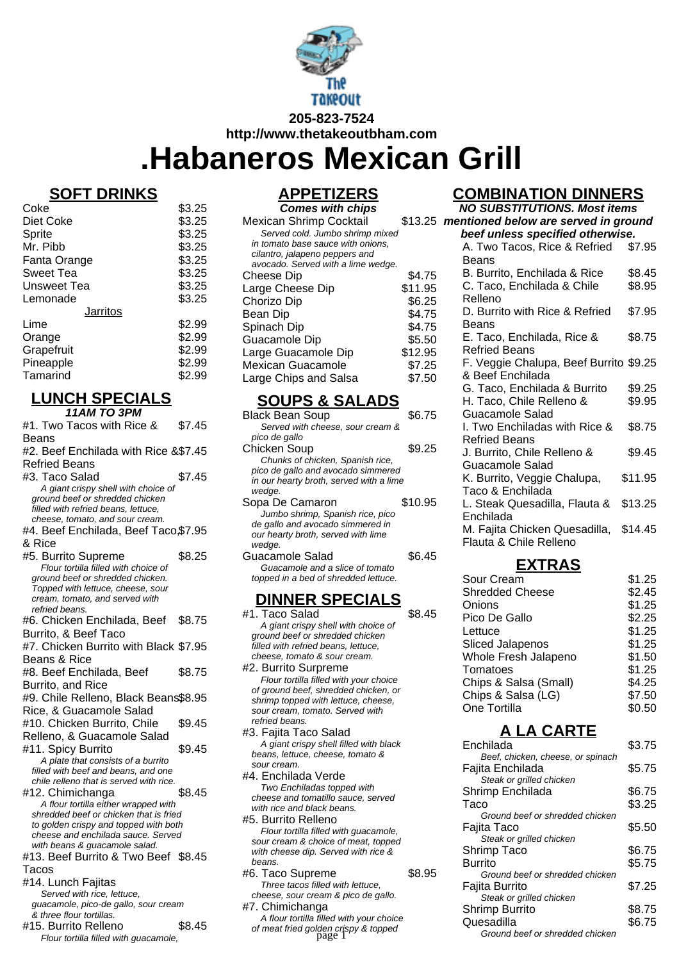

**.Habaneros Mexican Grill**

# **SOFT DRINKS**

| Coke            | \$3.25 |
|-----------------|--------|
| Diet Coke       | \$3.25 |
| Sprite          | \$3.25 |
| Mr. Pibb        | \$3.25 |
| Fanta Orange    | \$3.25 |
| Sweet Tea       | \$3.25 |
| Unsweet Tea     | \$3.25 |
| Lemonade        | \$3.25 |
| <b>Jarritos</b> |        |
| Lime            | \$2.99 |
| Orange          | \$2.99 |
| Grapefruit      | \$2.99 |
| Pineapple       | \$2.99 |
| Tamarind        | \$2.99 |

# **LUNCH SPECIALS**

| 11AM TO 3PM                                                                 |        |
|-----------------------------------------------------------------------------|--------|
| #1. Two Tacos with Rice &                                                   | \$7.45 |
| Beans                                                                       |        |
| #2. Beef Enchilada with Rice &\$7.45                                        |        |
| Refried Beans                                                               |        |
| #3. Taco Salad                                                              | \$7.45 |
| A giant crispy shell with choice of                                         |        |
| ground beef or shredded chicken                                             |        |
| filled with refried beans, lettuce,                                         |        |
| cheese, tomato, and sour cream.                                             |        |
| #4. Beef Enchilada, Beef Taco,\$7.95                                        |        |
| & Rice                                                                      |        |
| #5. Burrito Supreme                                                         | \$8.25 |
| Flour tortilla filled with choice of                                        |        |
| ground beef or shredded chicken.<br>Topped with lettuce, cheese, sour       |        |
| cream, tomato, and served with                                              |        |
| refried beans.                                                              |        |
| #6. Chicken Enchilada, Beef \$8.75                                          |        |
| Burrito, & Beef Taco                                                        |        |
| #7. Chicken Burrito with Black \$7.95                                       |        |
| Beans & Rice                                                                |        |
| #8. Beef Enchilada, Beef                                                    | \$8.75 |
| <b>Burrito, and Rice</b>                                                    |        |
| #9. Chile Relleno, Black Beans\$8.95                                        |        |
| Rice, & Guacamole Salad                                                     |        |
| #10. Chicken Burrito, Chile                                                 | \$9.45 |
| Relleno, & Guacamole Salad                                                  |        |
| #11. Spicy Burrito                                                          | \$9.45 |
| A plate that consists of a burrito                                          |        |
| filled with beef and beans, and one                                         |        |
| chile relleno that is served with rice.                                     |        |
| #12. Chimichanga                                                            | \$8.45 |
| A flour tortilla either wrapped with                                        |        |
| shredded beef or chicken that is fried                                      |        |
| to golden crispy and topped with both<br>cheese and enchilada sauce. Served |        |
| with beans & guacamole salad.                                               |        |
| #13. Beef Burrito & Two Beef \$8.45                                         |        |
| Tacos                                                                       |        |
| #14. Lunch Fajitas                                                          |        |
| Served with rice, lettuce,                                                  |        |
| guacamole, pico-de gallo, sour cream                                        |        |
| & three flour tortillas.                                                    |        |
| #15. Burrito Relleno                                                        | \$8.45 |
| Flour tortilla filled with guacamole,                                       |        |

# **APPETIZERS**

| <b>Comes with chips</b>            |         |
|------------------------------------|---------|
| <b>Mexican Shrimp Cocktail</b>     | \$13.25 |
| Served cold. Jumbo shrimp mixed    |         |
| in tomato base sauce with onions.  |         |
| cilantro, jalapeno peppers and     |         |
| avocado. Served with a lime wedge. |         |
| <b>Cheese Dip</b>                  | \$4.75  |
| Large Cheese Dip                   | \$11.95 |
| Chorizo Dip                        | \$6.25  |
| Bean Dip                           | \$4.75  |
| Spinach Dip                        | \$4.75  |
| Guacamole Dip                      | \$5.50  |
| Large Guacamole Dip                | \$12.95 |
| Mexican Guacamole                  | \$7.25  |
| Large Chips and Salsa              | \$7.50  |
|                                    |         |

# **SOUPS & SALADS**

| Black Bean Soup                         | \$6.75  |
|-----------------------------------------|---------|
| Served with cheese, sour cream &        |         |
| pico de gallo                           |         |
| Chicken Soup                            | \$9.25  |
| Chunks of chicken, Spanish rice,        |         |
| pico de gallo and avocado simmered      |         |
| in our hearty broth, served with a lime |         |
| wedae.                                  |         |
| Sopa De Camaron                         | \$10.95 |
| Jumbo shrimp, Spanish rice, pico        |         |
| de gallo and avocado simmered in        |         |
| our hearty broth, served with lime      |         |
| wedge.                                  |         |
| Guacamole Salad                         | \$6.45  |
| Guacamole and a slice of tomato         |         |
| topped in a bed of shredded lettuce.    |         |
|                                         |         |

# **DINNER SPECIALS**

#1. Taco Salad \$8.45 A giant crispy shell with choice of ground beef or shredded chicken filled with refried beans, lettuce, cheese, tomato & sour cream.

#2. Burrito Surpreme Flour tortilla filled with your choice of ground beef, shredded chicken, or shrimp topped with lettuce, cheese, sour cream, tomato. Served with refried beans.

#3. Fajita Taco Salad A giant crispy shell filled with black beans, lettuce, cheese, tomato & sour cream. #4. Enchilada Verde

Two Enchiladas topped with cheese and tomatillo sauce, served with rice and black beans. #5. Burrito Relleno

#6. Taco Supreme \$8.95 Three tacos filled with lettuce, cheese, sour cream & pico de gallo. #7. Chimichanga A flour tortilla filled with your choice

## **COMBINATION DINNERS**

| <b>NO SUBSTITUTIONS. Most items</b>                     |         |
|---------------------------------------------------------|---------|
| mentioned below are served in ground                    |         |
| beef unless specified otherwise.                        |         |
| A. Two Tacos, Rice & Refried                            | \$7.95  |
| Beans                                                   |         |
| B. Burrito, Enchilada & Rice                            | \$8.45  |
| C. Taco, Enchilada & Chile                              | \$8.95  |
| Relleno                                                 |         |
| D. Burrito with Rice & Refried                          | \$7.95  |
| Beans                                                   |         |
| E. Taco, Enchilada, Rice &                              | \$8.75  |
| <b>Refried Beans</b>                                    |         |
| F. Veggie Chalupa, Beef Burrito \$9.25                  |         |
| & Beef Enchilada                                        |         |
| G. Taco, Enchilada & Burrito                            | \$9.25  |
| H. Taco, Chile Relleno &                                | \$9.95  |
| <b>Guacamole Salad</b>                                  |         |
| I. Two Enchiladas with Rice &                           | \$8.75  |
| <b>Refried Beans</b>                                    |         |
| J. Burrito, Chile Relleno &                             | \$9.45  |
| Guacamole Salad                                         |         |
| K. Burrito, Veggie Chalupa,                             | \$11.95 |
| Taco & Enchilada                                        |         |
| L. Steak Quesadilla, Flauta &                           | \$13.25 |
| Enchilada                                               |         |
| M. Fajita Chicken Quesadilla,<br>Flauta & Chile Relleno | \$14.45 |
|                                                         |         |

## **EXTRAS**

| Sour Cream              | \$1.25 |
|-------------------------|--------|
| <b>Shredded Cheese</b>  | \$2.45 |
| Onions                  | \$1.25 |
| Pico De Gallo           | \$2.25 |
| Lettuce                 | \$1.25 |
| <b>Sliced Jalapenos</b> | \$1.25 |
| Whole Fresh Jalapeno    | \$1.50 |
| Tomatoes                | \$1.25 |
| Chips & Salsa (Small)   | \$4.25 |
| Chips & Salsa (LG)      | \$7.50 |
| One Tortilla            | \$0.50 |
|                         |        |

# **A LA CARTE**

| A giant crispy shell filled with black         |        | Enchilada                         | \$3.75 |
|------------------------------------------------|--------|-----------------------------------|--------|
| beans, lettuce, cheese, tomato &               |        | Beef, chicken, cheese, or spinach |        |
| sour cream.                                    |        | Fajita Enchilada                  | \$5.75 |
| 4. Enchilada Verde                             |        | Steak or grilled chicken          |        |
| Two Enchiladas topped with                     |        | Shrimp Enchilada                  | \$6.75 |
| cheese and tomatillo sauce, served             |        | Taco                              | \$3.25 |
| with rice and black beans.                     |        | Ground beef or shredded chicken   |        |
| 5. Burrito Relleno                             |        | Fajita Taco                       | \$5.50 |
| Flour tortilla filled with guacamole,          |        | Steak or grilled chicken          |        |
| sour cream & choice of meat, topped            |        |                                   | \$6.75 |
| with cheese dip. Served with rice &            |        | Shrimp Taco                       |        |
| beans.                                         |        | <b>Burrito</b>                    | \$5.75 |
| 6. Taco Supreme                                | \$8.95 | Ground beef or shredded chicken   |        |
| Three tacos filled with lettuce.               |        | Fajita Burrito                    | \$7.25 |
| cheese, sour cream & pico de gallo.            |        | Steak or grilled chicken          |        |
| 7. Chimichanga                                 |        | Shrimp Burrito                    | \$8.75 |
| A flour tortilla filled with your choice       |        | Quesadilla                        | \$6.75 |
| of meat fried golden crispy & topped<br>page 1 |        | Ground beef or shredded chicken   |        |
|                                                |        |                                   |        |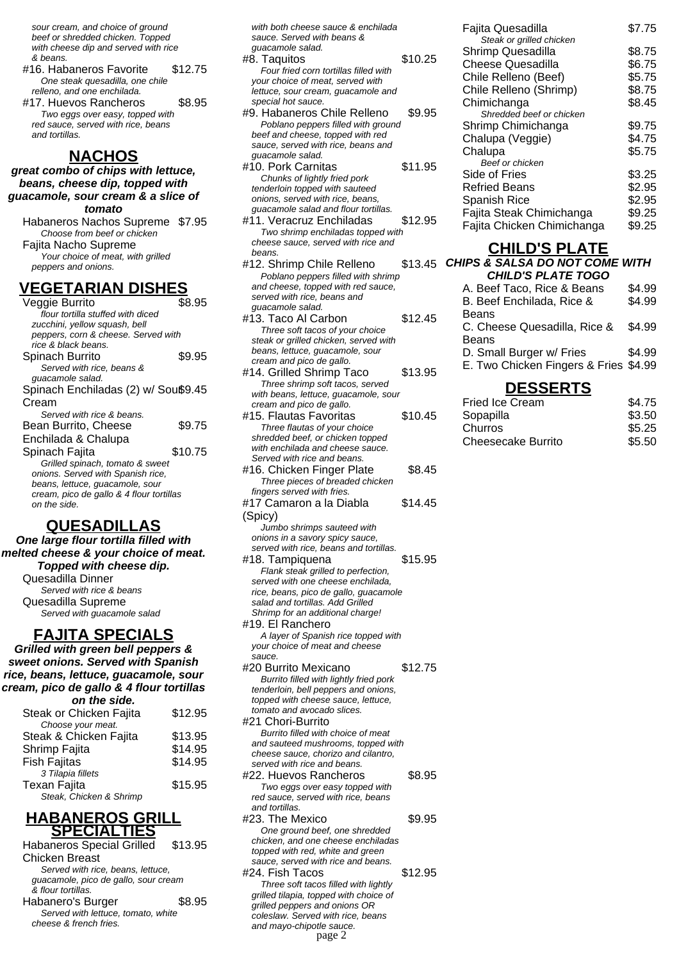sour cream, and choice of ground beef or shredded chicken. Topped with cheese dip and served with rice & beans.

- #16. Habaneros Favorite \$12.75 One steak quesadilla, one chile relleno, and one enchilada.
- #17. Huevos Rancheros \$8.95 Two eggs over easy, topped with red sauce, served with rice, beans and tortillas.

#### **NACHOS**

**great combo of chips with lettuce, beans, cheese dip, topped with guacamole, sour cream & a slice of tomato**

Habaneros Nachos Supreme \$7.95 Choose from beef or chicken Fajita Nacho Supreme Your choice of meat, with grilled peppers and onions.

#### **VEGETARIAN DISHES**

| Veggie Burrito                           | S8.95   |  |
|------------------------------------------|---------|--|
| flour tortilla stuffed with diced        |         |  |
| zucchini, yellow squash, bell            |         |  |
| peppers, corn & cheese. Served with      |         |  |
| rice & black beans.                      |         |  |
| Spinach Burrito                          | \$9.95  |  |
| Served with rice, beans &                |         |  |
| guacamole salad.                         |         |  |
| Spinach Enchiladas (2) w/ Souß9.45       |         |  |
| Cream                                    |         |  |
| Served with rice & beans.                |         |  |
| Bean Burrito, Cheese                     | \$9.75  |  |
| Enchilada & Chalupa                      |         |  |
| Spinach Fajita                           | \$10.75 |  |
| Grilled spinach, tomato & sweet          |         |  |
| onions. Served with Spanish rice,        |         |  |
| beans, lettuce, guacamole, sour          |         |  |
| cream, pico de gallo & 4 flour tortillas |         |  |
| on the side.                             |         |  |
|                                          |         |  |

## **QUESADILLAS**

**One large flour tortilla filled with melted cheese & your choice of meat. Topped with cheese dip.** Quesadilla Dinner Served with rice & beans Quesadilla Supreme Served with guacamole salad **FAJITA SPECIALS**

**Grilled with green bell peppers & sweet onions. Served with Spanish rice, beans, lettuce, guacamole, sour cream, pico de gallo & 4 flour tortillas on the side.**

| Steak or Chicken Fajita | \$12.95 |
|-------------------------|---------|
| Choose your meat.       |         |
| Steak & Chicken Fajita  | \$13.95 |
| Shrimp Fajita           | \$14.95 |
| <b>Fish Fajitas</b>     | \$14.95 |
| 3 Tilapia fillets       |         |
| <b>Texan Fajita</b>     | \$15.95 |
| Steak, Chicken & Shrimp |         |
|                         |         |

#### **HABANEROS GRILL SPECIALTIES**

| <b>Habaneros Special Grilled</b>     | \$13.95 |
|--------------------------------------|---------|
| <b>Chicken Breast</b>                |         |
| Served with rice, beans, lettuce.    |         |
| guacamole, pico de gallo, sour cream |         |
| & flour tortillas.                   |         |
| Habanero's Burger                    | \$8.95  |
| Served with lettuce, tomato, white   |         |
| cheese & french fries.               |         |
|                                      |         |

with both cheese sauce & enchilada sauce. Served with beans & guacamole salad.

- #8. Taquitos \$10.25 Four fried corn tortillas filled with your choice of meat, served with lettuce, sour cream, guacamole and special hot sauce.
- #9. Habaneros Chile Relleno \$9.95 Poblano peppers filled with ground beef and cheese, topped with red sauce, served with rice, beans and guacamole salad.
- #10. Pork Carnitas \$11.95 Chunks of lightly fried pork tenderloin topped with sauteed onions, served with rice, beans, guacamole salad and flour tortillas.
- #11. Veracruz Enchiladas \$12.95 Two shrimp enchiladas topped with cheese sauce, served with rice and beans.
- #12. Shrimp Chile Relleno  $$13.45$  C Poblano peppers filled with shrimp and cheese, topped with red sauce, served with rice, beans and guacamole salad.
- #13. Taco Al Carbon \$12.45 Three soft tacos of your choice steak or grilled chicken, served with beans, lettuce, guacamole, sour cream and pico de gallo.
- #14. Grilled Shrimp Taco \$13.95 Three shrimp soft tacos, served with beans, lettuce, guacamole, sour cream and pico de gallo.
- #15. Flautas Favoritas \$10.45 Three flautas of your choice shredded beef, or chicken topped with enchilada and cheese sauce. Served with rice and beans.
- #16. Chicken Finger Plate \$8.45 Three pieces of breaded chicken fingers served with fries. #17 Camaron a la Diabla \$14.45
- (Spicy) Jumbo shrimps sauteed with
- onions in a savory spicy sauce, served with rice, beans and tortillas. #18. Tampiquena \$15.95
- Flank steak grilled to perfection, served with one cheese enchilada rice, beans, pico de gallo, guacamole salad and tortillas. Add Grilled Shrimp for an additional charge! #19. El Ranchero
- A layer of Spanish rice topped with your choice of meat and cheese sauce.
- #20 Burrito Mexicano \$12.75 Burrito filled with lightly fried pork tenderloin, bell peppers and onions, topped with cheese sauce, lettuce, tomato and avocado slices. #21 Chori-Burrito Burrito filled with choice of meat and sauteed mushrooms, topped with cheese sauce, chorizo and cilantro, served with rice and beans. #22. Huevos Rancheros \$8.95
- Two eggs over easy topped with red sauce, served with rice, beans and tortillas. #23. The Mexico \$9.95
- One ground beef, one shredded chicken, and one cheese enchiladas topped with red, white and green sauce, served with rice and beans.
- #24. Fish Tacos \$12.95 Three soft tacos filled with lightly grilled tilapia, topped with choice of grilled peppers and onions OR coleslaw. Served with rice, beans and mayo-chipotle sauce. page 2

| Fajita Quesadilla<br>Steak or grilled chicken | \$7.75 |
|-----------------------------------------------|--------|
| Shrimp Quesadilla                             | \$8.75 |
| Cheese Quesadilla                             | \$6.75 |
| Chile Relleno (Beef)                          | \$5.75 |
| Chile Relleno (Shrimp)                        | \$8.75 |
| Chimichanga                                   | \$8.45 |
| Shredded beef or chicken                      |        |
| Shrimp Chimichanga                            | \$9.75 |
| Chalupa (Veggie)                              | \$4.75 |
| Chalupa                                       | \$5.75 |
| Beef or chicken                               |        |
| Side of Fries                                 | \$3.25 |
| <b>Refried Beans</b>                          | \$2.95 |
| <b>Spanish Rice</b>                           | \$2.95 |
| Fajita Steak Chimichanga                      | \$9.25 |
| Fajita Chicken Chimichanga                    | \$9.25 |

## **CHILD'S PLATE**

| <b>CHIPS &amp; SALSA DO NOT COME WITH</b> |        |
|-------------------------------------------|--------|
| <b>CHILD'S PLATE TOGO</b>                 |        |
| A. Beef Taco, Rice & Beans                | \$4.99 |
| B. Beef Enchilada, Rice &                 | \$4.99 |
| Beans                                     |        |
| C. Cheese Quesadilla, Rice &              | \$4.99 |
| Beans                                     |        |
| D. Small Burger w/ Fries                  | \$4.99 |

E. Two Chicken Fingers & Fries \$4.99

## **DESSERTS**

| <b>Fried Ice Cream</b>    | \$4.75 |
|---------------------------|--------|
| Sopapilla                 | \$3.50 |
| Churros                   | \$5.25 |
| <b>Cheesecake Burrito</b> | \$5.50 |
|                           |        |